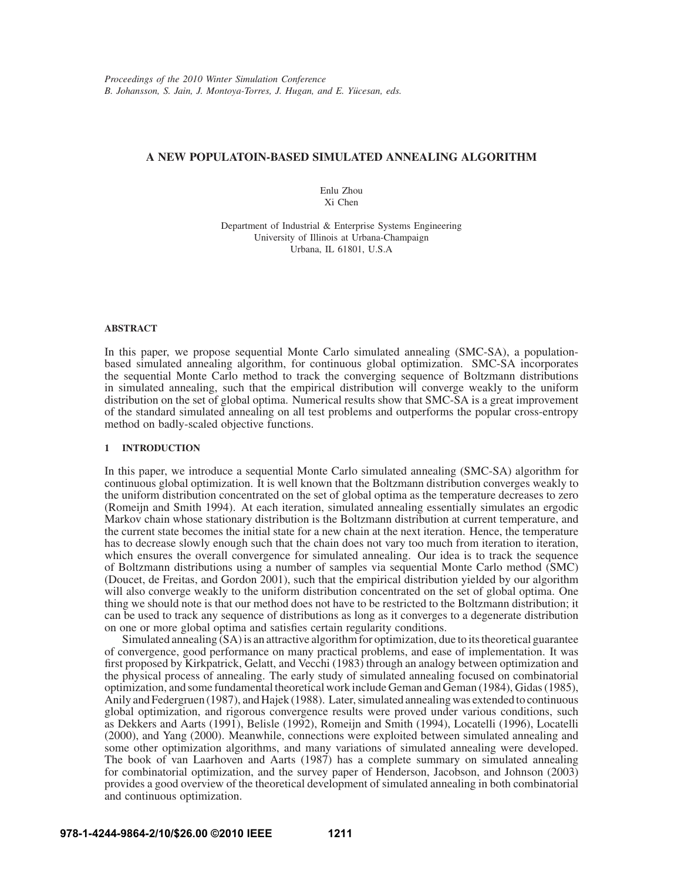# **A NEW POPULATOIN-BASED SIMULATED ANNEALING ALGORITHM**

Enlu Zhou Xi Chen

Department of Industrial & Enterprise Systems Engineering University of Illinois at Urbana-Champaign Urbana, IL 61801, U.S.A

## **ABSTRACT**

In this paper, we propose sequential Monte Carlo simulated annealing (SMC-SA), a populationbased simulated annealing algorithm, for continuous global optimization. SMC-SA incorporates the sequential Monte Carlo method to track the converging sequence of Boltzmann distributions in simulated annealing, such that the empirical distribution will converge weakly to the uniform distribution on the set of global optima. Numerical results show that SMC-SA is a great improvement of the standard simulated annealing on all test problems and outperforms the popular cross-entropy method on badly-scaled objective functions.

# **1 INTRODUCTION**

In this paper, we introduce a sequential Monte Carlo simulated annealing (SMC-SA) algorithm for continuous global optimization. It is well known that the Boltzmann distribution converges weakly to the uniform distribution concentrated on the set of global optima as the temperature decreases to zero (Romeijn and Smith 1994). At each iteration, simulated annealing essentially simulates an ergodic Markov chain whose stationary distribution is the Boltzmann distribution at current temperature, and the current state becomes the initial state for a new chain at the next iteration. Hence, the temperature has to decrease slowly enough such that the chain does not vary too much from iteration to iteration, which ensures the overall convergence for simulated annealing. Our idea is to track the sequence of Boltzmann distributions using a number of samples via sequential Monte Carlo method (SMC) (Doucet, de Freitas, and Gordon 2001), such that the empirical distribution yielded by our algorithm will also converge weakly to the uniform distribution concentrated on the set of global optima. One thing we should note is that our method does not have to be restricted to the Boltzmann distribution; it can be used to track any sequence of distributions as long as it converges to a degenerate distribution on one or more global optima and satisfies certain regularity conditions.

Simulated annealing (SA) is an attractive algorithm for optimization, due to its theoretical guarantee of convergence, good performance on many practical problems, and ease of implementation. It was first proposed by Kirkpatrick, Gelatt, and Vecchi (1983) through an analogy between optimization and the physical process of annealing. The early study of simulated annealing focused on combinatorial optimization, and some fundamental theoretical work include Geman and Geman (1984), Gidas (1985), Anily and Federgruen (1987), and Hajek (1988). Later, simulated annealing was extended to continuous global optimization, and rigorous convergence results were proved under various conditions, such as Dekkers and Aarts (1991), Belisle (1992), Romeijn and Smith (1994), Locatelli (1996), Locatelli (2000), and Yang (2000). Meanwhile, connections were exploited between simulated annealing and some other optimization algorithms, and many variations of simulated annealing were developed. The book of van Laarhoven and Aarts (1987) has a complete summary on simulated annealing for combinatorial optimization, and the survey paper of Henderson, Jacobson, and Johnson (2003) provides a good overview of the theoretical development of simulated annealing in both combinatorial and continuous optimization.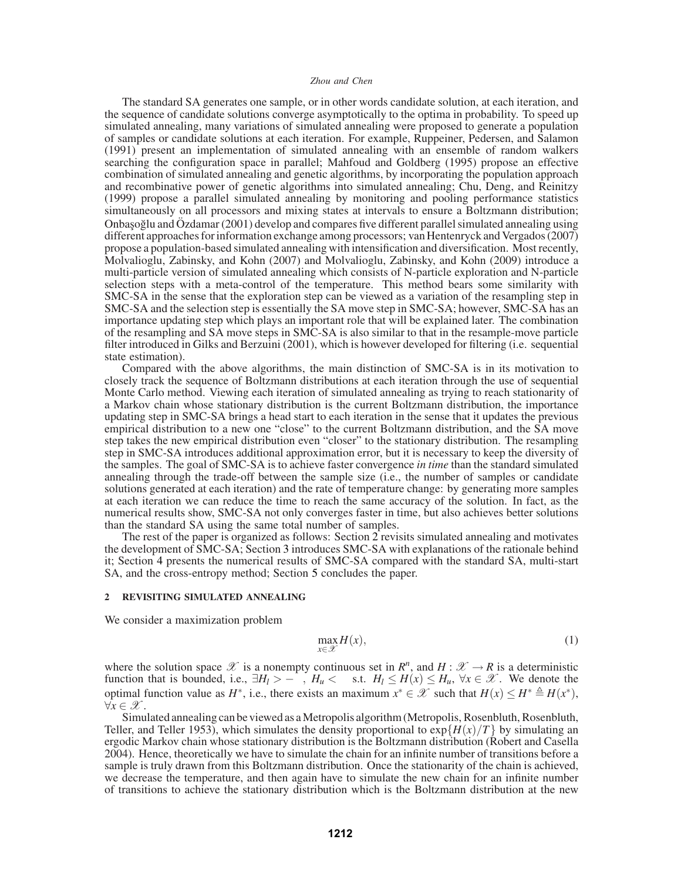The standard SA generates one sample, or in other words candidate solution, at each iteration, and the sequence of candidate solutions converge asymptotically to the optima in probability. To speed up simulated annealing, many variations of simulated annealing were proposed to generate a population of samples or candidate solutions at each iteration. For example, Ruppeiner, Pedersen, and Salamon (1991) present an implementation of simulated annealing with an ensemble of random walkers searching the configuration space in parallel; Mahfoud and Goldberg (1995) propose an effective combination of simulated annealing and genetic algorithms, by incorporating the population approach and recombinative power of genetic algorithms into simulated annealing; Chu, Deng, and Reinitzy (1999) propose a parallel simulated annealing by monitoring and pooling performance statistics simultaneously on all processors and mixing states at intervals to ensure a Boltzmann distribution; Onbasoğlu and Özdamar (2001) develop and compares five different parallel simulated annealing using different approaches for information exchange among processors; van Hentenryck and Vergados (2007) propose a population-based simulated annealing with intensification and diversification. Most recently, Molvalioglu, Zabinsky, and Kohn (2007) and Molvalioglu, Zabinsky, and Kohn (2009) introduce a multi-particle version of simulated annealing which consists of N-particle exploration and N-particle selection steps with a meta-control of the temperature. This method bears some similarity with SMC-SA in the sense that the exploration step can be viewed as a variation of the resampling step in SMC-SA and the selection step is essentially the SA move step in SMC-SA; however, SMC-SA has an importance updating step which plays an important role that will be explained later. The combination of the resampling and SA move steps in SMC-SA is also similar to that in the resample-move particle filter introduced in Gilks and Berzuini (2001), which is however developed for filtering (i.e. sequential state estimation).

Compared with the above algorithms, the main distinction of SMC-SA is in its motivation to closely track the sequence of Boltzmann distributions at each iteration through the use of sequential Monte Carlo method. Viewing each iteration of simulated annealing as trying to reach stationarity of a Markov chain whose stationary distribution is the current Boltzmann distribution, the importance updating step in SMC-SA brings a head start to each iteration in the sense that it updates the previous empirical distribution to a new one "close" to the current Boltzmann distribution, and the SA move step takes the new empirical distribution even "closer" to the stationary distribution. The resampling step in SMC-SA introduces additional approximation error, but it is necessary to keep the diversity of the samples. The goal of SMC-SA is to achieve faster convergence *in time* than the standard simulated annealing through the trade-off between the sample size (i.e., the number of samples or candidate solutions generated at each iteration) and the rate of temperature change: by generating more samples at each iteration we can reduce the time to reach the same accuracy of the solution. In fact, as the numerical results show, SMC-SA not only converges faster in time, but also achieves better solutions than the standard SA using the same total number of samples.

The rest of the paper is organized as follows: Section 2 revisits simulated annealing and motivates the development of SMC-SA; Section 3 introduces SMC-SA with explanations of the rationale behind it; Section 4 presents the numerical results of SMC-SA compared with the standard SA, multi-start SA, and the cross-entropy method; Section 5 concludes the paper.

### **2 REVISITING SIMULATED ANNEALING**

We consider a maximization problem

$$
\max_{x \in \mathcal{X}} H(x),\tag{1}
$$

where the solution space  $\mathscr X$  is a nonempty continuous set in  $R^n$ , and  $H : \mathscr X \to R$  is a deterministic function that is bounded, i.e.,  $\exists H_l > -\infty$ ,  $H_u < \infty$  s.t.  $H_l \leq H(x) \leq H_u$ ,  $\forall x \in \mathcal{X}$ . We denote the optimal function value as *H*<sup>∗</sup>, i.e., there exists an maximum  $x^* \in \mathcal{X}$  such that  $H(x) \le H^* \triangleq H(x^*)$ ,  $\forall x \in \mathscr{X}$ .

Simulated annealing can be viewed as a Metropolis algorithm (Metropolis, Rosenbluth, Rosenbluth, Teller, and Teller 1953), which simulates the density proportional to  $\exp\{H(x)/T\}$  by simulating an ergodic Markov chain whose stationary distribution is the Boltzmann distribution (Robert and Casella 2004). Hence, theoretically we have to simulate the chain for an infinite number of transitions before a sample is truly drawn from this Boltzmann distribution. Once the stationarity of the chain is achieved, we decrease the temperature, and then again have to simulate the new chain for an infinite number of transitions to achieve the stationary distribution which is the Boltzmann distribution at the new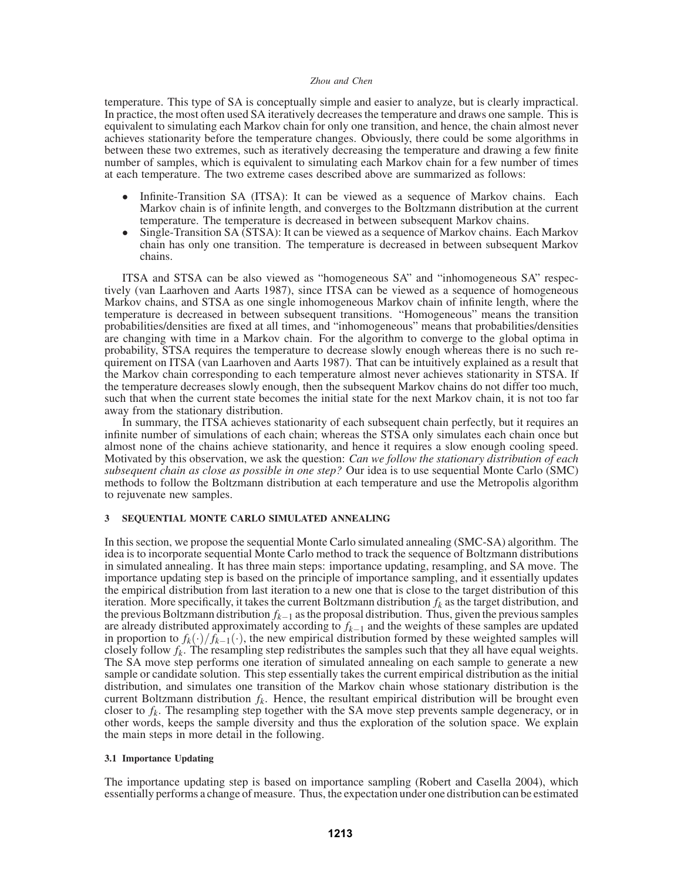temperature. This type of SA is conceptually simple and easier to analyze, but is clearly impractical. In practice, the most often used SA iteratively decreases the temperature and draws one sample. This is equivalent to simulating each Markov chain for only one transition, and hence, the chain almost never achieves stationarity before the temperature changes. Obviously, there could be some algorithms in between these two extremes, such as iteratively decreasing the temperature and drawing a few finite number of samples, which is equivalent to simulating each Markov chain for a few number of times at each temperature. The two extreme cases described above are summarized as follows:

- Infinite-Transition SA (ITSA): It can be viewed as a sequence of Markov chains. Each Markov chain is of infinite length, and converges to the Boltzmann distribution at the current temperature. The temperature is decreased in between subsequent Markov chains.
- Single-Transition SA (STSA): It can be viewed as a sequence of Markov chains. Each Markov chain has only one transition. The temperature is decreased in between subsequent Markov chains.

ITSA and STSA can be also viewed as "homogeneous SA" and "inhomogeneous SA" respectively (van Laarhoven and Aarts 1987), since ITSA can be viewed as a sequence of homogeneous Markov chains, and STSA as one single inhomogeneous Markov chain of infinite length, where the temperature is decreased in between subsequent transitions. "Homogeneous" means the transition probabilities/densities are fixed at all times, and "inhomogeneous" means that probabilities/densities are changing with time in a Markov chain. For the algorithm to converge to the global optima in probability, STSA requires the temperature to decrease slowly enough whereas there is no such requirement on ITSA (van Laarhoven and Aarts 1987). That can be intuitively explained as a result that the Markov chain corresponding to each temperature almost never achieves stationarity in STSA. If the temperature decreases slowly enough, then the subsequent Markov chains do not differ too much, such that when the current state becomes the initial state for the next Markov chain, it is not too far away from the stationary distribution.

In summary, the ITSA achieves stationarity of each subsequent chain perfectly, but it requires an infinite number of simulations of each chain; whereas the STSA only simulates each chain once but almost none of the chains achieve stationarity, and hence it requires a slow enough cooling speed. Motivated by this observation, we ask the question: *Can we follow the stationary distribution of each subsequent chain as close as possible in one step?* Our idea is to use sequential Monte Carlo (SMC) methods to follow the Boltzmann distribution at each temperature and use the Metropolis algorithm to rejuvenate new samples.

# **3 SEQUENTIAL MONTE CARLO SIMULATED ANNEALING**

In this section, we propose the sequential Monte Carlo simulated annealing (SMC-SA) algorithm. The idea is to incorporate sequential Monte Carlo method to track the sequence of Boltzmann distributions in simulated annealing. It has three main steps: importance updating, resampling, and SA move. The importance updating step is based on the principle of importance sampling, and it essentially updates the empirical distribution from last iteration to a new one that is close to the target distribution of this iteration. More specifically, it takes the current Boltzmann distribution *fk* as the target distribution, and the previous Boltzmann distribution *fk*−<sup>1</sup> as the proposal distribution. Thus, given the previous samples are already distributed approximately according to *fk*−<sup>1</sup> and the weights of these samples are updated in proportion to  $f_k(\cdot)/f_{k-1}(\cdot)$ , the new empirical distribution formed by these weighted samples will closely follow  $f_k$ . The resampling step redistributes the samples such that they all have equal weights. The SA move step performs one iteration of simulated annealing on each sample to generate a new sample or candidate solution. This step essentially takes the current empirical distribution as the initial distribution, and simulates one transition of the Markov chain whose stationary distribution is the current Boltzmann distribution  $f_k$ . Hence, the resultant empirical distribution will be brought even closer to  $f_k$ . The resampling step together with the SA move step prevents sample degeneracy, or in other words, keeps the sample diversity and thus the exploration of the solution space. We explain the main steps in more detail in the following.

## **3.1 Importance Updating**

The importance updating step is based on importance sampling (Robert and Casella 2004), which essentially performs a change of measure. Thus, the expectation under one distribution can be estimated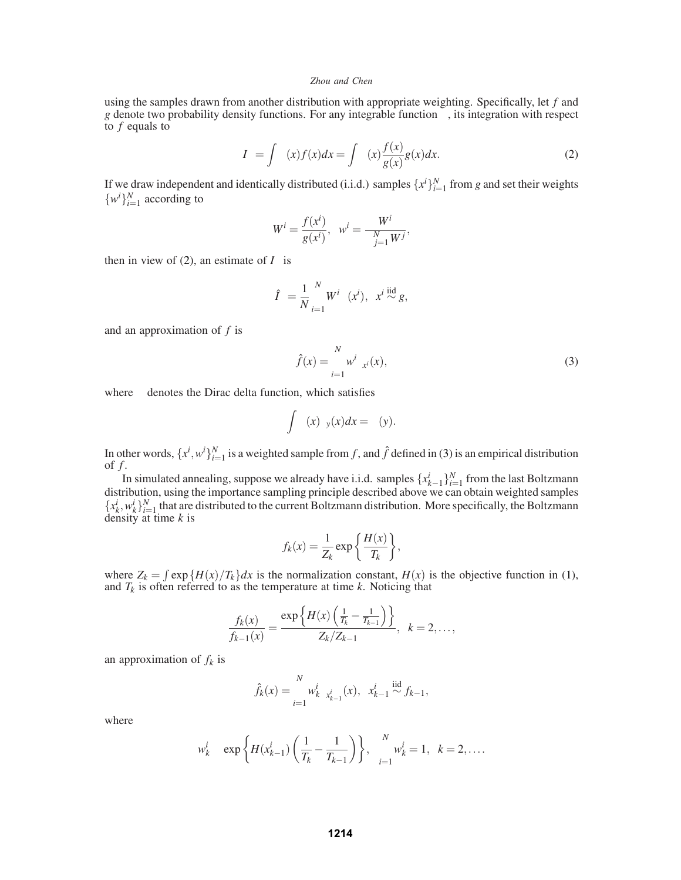using the samples drawn from another distribution with appropriate weighting. Specifically, let *f* and *g* denote two probability density functions. For any integrable function  $\phi$ , its integration with respect to *f* equals to

$$
I_{\phi} = \int \phi(x)f(x)dx = \int \phi(x)\frac{f(x)}{g(x)}g(x)dx.
$$
 (2)

,

If we draw independent and identically distributed (i.i.d.) samples  $\{x^i\}_{i=1}^N$  from *g* and set their weights  $\{w^i\}_{i=1}^N$  according to

$$
W^{i} = \frac{f(x^{i})}{g(x^{i})}, \ \ w^{i} = \frac{W^{i}}{\sum_{j=1}^{N} W^{j}}
$$

then in view of (2), an estimate of  $I_{\phi}$  is

$$
\hat{I}_{\phi} = \frac{1}{N} \sum_{i=1}^{N} W^{i} \phi(x^{i}), \quad x^{i} \stackrel{\text{iid}}{\sim} g,
$$

and an approximation of *f* is

$$
\hat{f}(x) = \sum_{i=1}^{N} w^i \delta_{x^i}(x),\tag{3}
$$

where  $\delta$  denotes the Dirac delta function, which satisfies

$$
\int \phi(x)\delta_{y}(x)dx = \phi(y).
$$

In other words,  $\{x^i, w^i\}_{i=1}^N$  is a weighted sample from *f*, and  $\hat{f}$  defined in (3) is an empirical distribution of *f* .

In simulated annealing, suppose we already have i.i.d. samples  $\{x_{k-1}^i\}_{i=1}^N$  from the last Boltzmann with the last in graduated annual security of the last  $\alpha$ distribution, using the importance sampling principle described above we can obtain weighted samples  ${x_k^i, w_k^i}_{i=1}^N$  that are distributed to the current Boltzmann distribution. More specifically, the Boltzmann density at time *k* is

$$
f_k(x) = \frac{1}{Z_k} \exp\left\{\frac{H(x)}{T_k}\right\},\,
$$

where  $Z_k = \int \exp\{H(x)/T_k\}dx$  is the normalization constant,  $H(x)$  is the objective function in (1), and  $T_k$  is often referred to as the temperature at time  $k$ . Noticing that

$$
\frac{f_k(x)}{f_{k-1}(x)} = \frac{\exp\left\{H(x)\left(\frac{1}{T_k} - \frac{1}{T_{k-1}}\right)\right\}}{Z_k/Z_{k-1}}, \ \ k = 2, \ldots,
$$

an approximation of  $f_k$  is

$$
\hat{f}_k(x) = \sum_{i=1}^N w_k^i \delta_{x_{k-1}^i}(x), \ \ x_{k-1}^i \stackrel{\text{iid}}{\sim} f_{k-1},
$$

where

$$
w_k^i \propto \exp\left\{H(x_{k-1}^i) \left(\frac{1}{T_k} - \frac{1}{T_{k-1}}\right)\right\}, \sum_{i=1}^N w_k^i = 1, k = 2,...
$$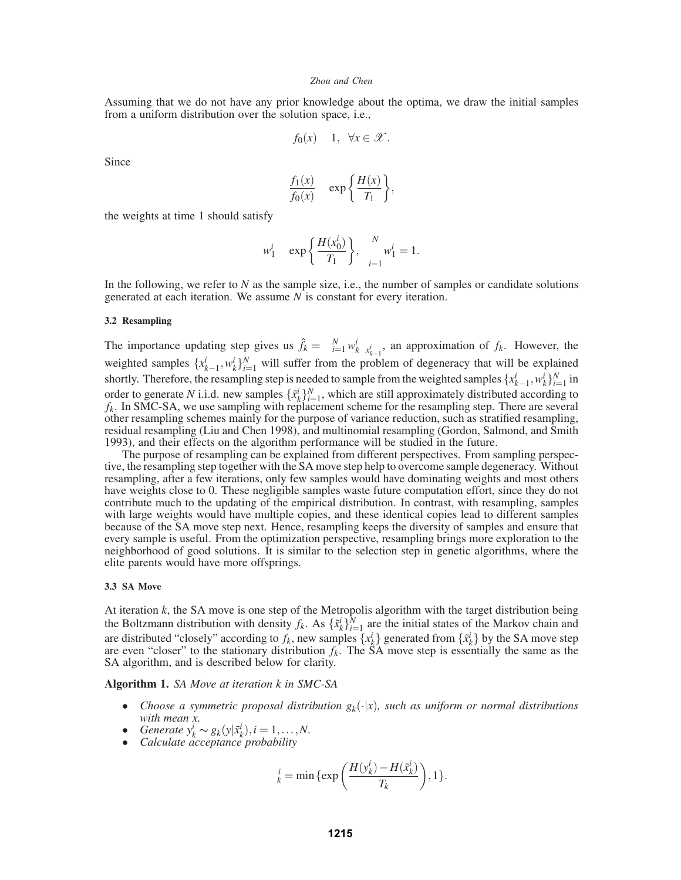Assuming that we do not have any prior knowledge about the optima, we draw the initial samples from a uniform distribution over the solution space, i.e.,

$$
f_0(x) \approx 1, \ \ \forall x \in \mathscr{X}.
$$

Since

$$
\frac{f_1(x)}{f_0(x)} \propto \exp\left\{\frac{H(x)}{T_1}\right\},\,
$$

the weights at time 1 should satisfy

$$
w_1^i \propto \exp\left\{\frac{H(x_0^i)}{T_1}\right\}, \quad \sum_{i=1}^N w_1^i = 1.
$$

In the following, we refer to *N* as the sample size, i.e., the number of samples or candidate solutions generated at each iteration. We assume *N* is constant for every iteration.

#### **3.2 Resampling**

The importance updating step gives us  $\hat{f}_k = \sum_{i=1}^N w_k^i \delta_{x_{k-1}^i}$ , an approximation of  $f_k$ . However, the weighted samples  $\{x_{k-1}^i, w_k^i\}_{i=1}^N$  will suffer from the problem of degeneracy that will be explained shortly. Therefore, the resampling step is needed to sample from the weighted samples  $\{x_{k-1}^i, w_k^i\}_{i=1}^N$  in order to generate *N* i.i.d. new samples  $\{\tilde{x}_k^i\}_{i=1}^N$ , which are still approximately distributed according to  $f_k$ . In SMC-SA, we use sampling with replacement scheme for the resampling step. There are several other resampling schemes mainly for the purpose of variance reduction, such as stratified resampling, residual resampling (Liu and Chen 1998), and multinomial resampling (Gordon, Salmond, and Smith 1993), and their effects on the algorithm performance will be studied in the future.

The purpose of resampling can be explained from different perspectives. From sampling perspective, the resampling step together with the SA move step help to overcome sample degeneracy. Without resampling, after a few iterations, only few samples would have dominating weights and most others have weights close to 0. These negligible samples waste future computation effort, since they do not contribute much to the updating of the empirical distribution. In contrast, with resampling, samples with large weights would have multiple copies, and these identical copies lead to different samples because of the SA move step next. Hence, resampling keeps the diversity of samples and ensure that every sample is useful. From the optimization perspective, resampling brings more exploration to the neighborhood of good solutions. It is similar to the selection step in genetic algorithms, where the elite parents would have more offsprings.

# **3.3 SA Move**

At iteration *k*, the SA move is one step of the Metropolis algorithm with the target distribution being the Boltzmann distribution with density  $f_k$ . As  $\{\tilde{x}_k^i\}_{i=1}^N$  are the initial states of the Markov chain and are distributed "closely" according to  $f_k$ , new samples  $\{x_k^i\}$  generated from  $\{\tilde{x}_k^i\}$  by the SA move step are even "closer" to the stationary distribution  $f_k$ . The  $\tilde{S}A$  move step is essentially the same as the SA algorithm, and is described below for clarity.

# **Algorithm 1.** *SA Move at iteration k in SMC-SA*

- Choose a symmetric proposal distribution  $g_k(\cdot|x)$ , such as uniform or normal distributions *with mean x.*
- $\bullet$  *Generate*  $y_k^i \sim g_k(y|\tilde{x}_k^i), i = 1, \ldots, N.$
- *Calculate acceptance probability*

$$
\rho_k^i = \min\left\{\exp\left(\frac{H(y_k^i) - H(\tilde{x}_k^i)}{T_k}\right), 1\right\}.
$$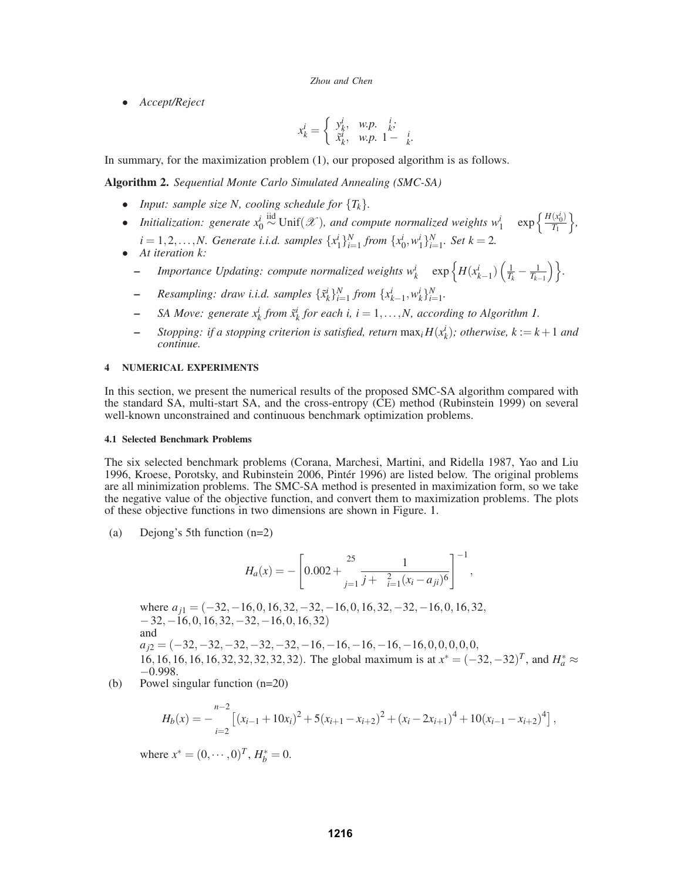• *Accept/Reject*

$$
x_k^i = \begin{cases} y_k^i, & w.p. \rho_k^i; \\ \tilde{x}_k^i, & w.p. \ 1 - \rho_k^i. \end{cases}
$$

In summary, for the maximization problem (1), our proposed algorithm is as follows.

**Algorithm 2.** *Sequential Monte Carlo Simulated Annealing (SMC-SA)*

- *Input: sample size N, cooling schedule for*  ${T_k}$ .
- *Initialization: generate x<sup>i</sup>* 0  $\frac{di}{i\alpha}$  Unif( $\mathscr{X}$ ), and compute normalized weights  $w_1^i$  ∝ exp $\left\{\frac{H(x_0^i)}{T_1}\right\}$  $\frac{(x_0^l)}{T_1}$ ,  $i = 1, 2, \ldots, N$ . Generate i.i.d. samples  $\{x_1^i\}_{i=1}^N$  *from*  $\{x_0^i, w_1^i\}_{i=1}^N$ . Set  $k = 2$ .
- *At iteration k:*
	- *Importance Updating: compute normalized weights* $w_k^i \propto \exp\left\{H(x_{k-1}^i)\left(\frac{1}{T_k}-\frac{1}{T_{k-1}}\right)\right\}$ **.**
	- $-$  *Resampling: draw i.i.d. samples*  $\{\tilde{x}_k^i\}_{i=1}^N$  *from*  $\{x_{k-1}^i, w_k^i\}_{i=1}^N$ .
	- **-** *SA Move: generate*  $x_k^i$  *from*  $\tilde{x}_k^i$  *for each i, i* = 1,...,*N, according to Algorithm 1.*
	- **–** *Stopping: if a stopping criterion is satisfied, return* max*<sup>i</sup> H*(*x<sup>i</sup> <sup>k</sup>*)*; otherwise, k* := *k*+1 *and continue.*

# **4 NUMERICAL EXPERIMENTS**

In this section, we present the numerical results of the proposed SMC-SA algorithm compared with the standard SA, multi-start SA, and the cross-entropy (CE) method (Rubinstein 1999) on several well-known unconstrained and continuous benchmark optimization problems.

# **4.1 Selected Benchmark Problems**

The six selected benchmark problems (Corana, Marchesi, Martini, and Ridella 1987, Yao and Liu 1996, Kroese, Porotsky, and Rubinstein 2006, Pintér 1996) are listed below. The original problems are all minimization problems. The SMC-SA method is presented in maximization form, so we take the negative value of the objective function, and convert them to maximization problems. The plots of these objective functions in two dimensions are shown in Figure. 1.

(a) Dejong's 5th function (n=2)

$$
H_a(x) = -\left[0.002 + \sum_{j=1}^{25} \frac{1}{j + \sum_{i=1}^{2} (x_i - a_{ji})^6}\right]^{-1},
$$

where *aj*<sup>1</sup> = (−32,−16,0,16,32,−32,−16,0,16,32,−32,−16,0,16,32, −32,−16,0,16,32,−32,−16,0,16,32) and *aj*<sup>2</sup> = (−32,−32,−32,−32,−32,−16,−16,−16,−16,−16,0,0,0,0,0, 16,16,16,16,16,32,32,32,32,32). The global maximum is at  $x^* = (-32, -32)^T$ , and  $H_a^* \approx$ −0.998.

(b) Powel singular function (n=20)

$$
H_b(x) = -\sum_{i=2}^{n-2} \left[ (x_{i-1} + 10x_i)^2 + 5(x_{i+1} - x_{i+2})^2 + (x_i - 2x_{i+1})^4 + 10(x_{i-1} - x_{i+2})^4 \right],
$$

where  $x^* = (0, \dots, 0)^T$ ,  $H_b^* = 0$ .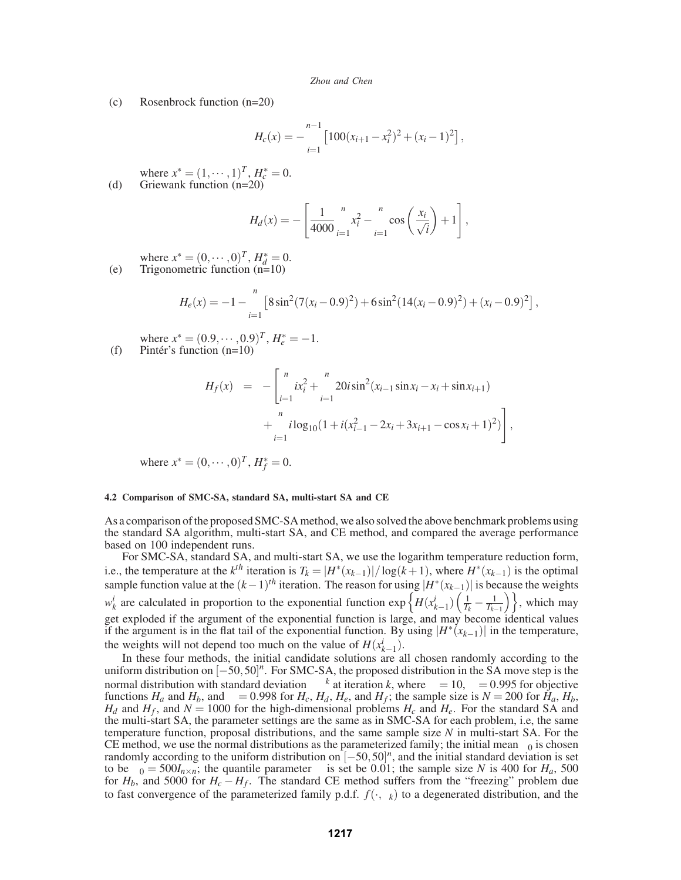(c) Rosenbrock function (n=20)

$$
H_c(x) = -\sum_{i=1}^{n-1} \left[ 100(x_{i+1} - x_i^2)^2 + (x_i - 1)^2 \right],
$$

where  $x^* = (1, \dots, 1)^T$ ,  $H_c^* = 0$ . (d) Griewank function (n=20)

$$
H_d(x) = -\left[\frac{1}{4000} \sum_{i=1}^n x_i^2 - \prod_{i=1}^n \cos\left(\frac{x_i}{\sqrt{i}}\right) + 1\right],
$$

where  $x^* = (0, \dots, 0)^T$ ,  $H_d^* = 0$ . (e) Trigonometric function  $(n=10)$ 

$$
H_e(x) = -1 - \sum_{i=1}^{n} \left[ 8\sin^2(7(x_i - 0.9)^2) + 6\sin^2(14(x_i - 0.9)^2) + (x_i - 0.9)^2 \right],
$$

(f) where  $x^* = (0.9, \dots, 0.9)^T$ ,  $H_e^* = -1$ .<br>(f) Pintér's function (n=10)

$$
H_f(x) = -\left[\sum_{i=1}^n ix_i^2 + \sum_{i=1}^n 20i\sin^2(x_{i-1}\sin x_i - x_i + \sin x_{i+1}) + \sum_{i=1}^n i\log_{10}(1 + i(x_{i-1}^2 - 2x_i + 3x_{i+1} - \cos x_i + 1)^2)\right],
$$

where  $x^* = (0, \dots, 0)^T$ ,  $H_f^* = 0$ .

### **4.2 Comparison of SMC-SA, standard SA, multi-start SA and CE**

As a comparison of the proposed SMC-SA method, we also solved the above benchmark problems using the standard SA algorithm, multi-start SA, and CE method, and compared the average performance based on 100 independent runs.

For SMC-SA, standard SA, and multi-start SA, we use the logarithm temperature reduction form, i.e., the temperature at the  $k^{th}$  iteration is  $T_k = |H^*(x_{k-1})| / \log(k+1)$ , where  $H^*(x_{k-1})$  is the optimal sample function value at the  $(k-1)$ <sup>th</sup> iteration. The reason for using  $|H^*(x_{k-1})|$  is because the weights  $w_k^i$  are calculated in proportion to the exponential function  $\exp\left\{H(x_{k-1}^i)\left(\frac{1}{T_k}-\frac{1}{T_{k-1}}\right)\right\}$ , which may get exploded if the argument of the exponential function is large, and may become identical values if the argument is in the flat tail of the exponential function. By using  $|H^*(x_{k-1})|$  in the temperature, the weights will not depend too much on the value of  $H(x_{k-1}^i)$ .

In these four methods, the initial candidate solutions are all chosen randomly according to the uniform distribution on [−50,50] *<sup>n</sup>*. For SMC-SA, the proposed distribution in the SA move step is the normal distribution with standard deviation  $\alpha\beta^k$  at iteration *k*, where  $\alpha = 10$ ,  $\beta = 0.995$  for objective functions  $H_a$  and  $H_b$ , and  $\beta = 0.998$  for  $H_c$ ,  $H_d$ ,  $H_e$ , and  $H_f$ ; the sample size is  $N = 200$  for  $H_a$ ,  $H_b$ ,  $H_d$  and  $H_f$ , and  $N = 1000$  for the high-dimensional problems  $H_c$  and  $H_e$ . For the standard SA and the multi-start SA, the parameter settings are the same as in SMC-SA for each problem, i.e, the same temperature function, proposal distributions, and the same sample size *N* in multi-start SA. For the CE method, we use the normal distributions as the parameterized family; the initial mean  $\mu_0$  is chosen randomly according to the uniform distribution on  $[-50,50]^n$ , and the initial standard deviation is set to be  $\Sigma_0 = 500 I_{n \times n}$ ; the quantile parameter  $\rho$  is set be 0.01; the sample size *N* is 400 for  $H_a$ , 500 for  $H_b$ , and 5000 for  $H_c - H_f$ . The standard CE method suffers from the "freezing" problem due to fast convergence of the parameterized family p.d.f.  $f(\cdot,\theta_k)$  to a degenerated distribution, and the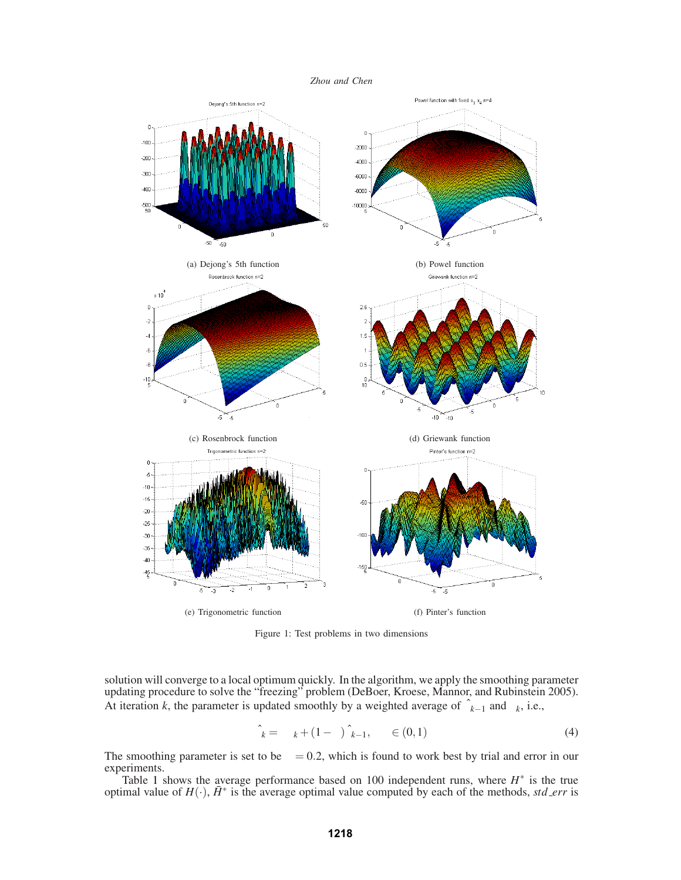

Figure 1: Test problems in two dimensions

solution will converge to a local optimum quickly. In the algorithm, we apply the smoothing parameter updating procedure to solve the "freezing" problem (DeBoer, Kroese, Mannor, and Rubinstein 2005). At iteration *k*, the parameter is updated smoothly by a weighted average of  $\hat{\theta}_{k-1}$  and  $\theta_k$ , i.e.,

$$
\hat{\theta}_k = v\theta_k + (1 - v)\hat{\theta}_{k-1}, \quad v \in (0, 1)
$$
\n
$$
(4)
$$

The smoothing parameter is set to be  $v = 0.2$ , which is found to work best by trial and error in our experiments.

Table 1 shows the average performance based on 100 independent runs, where  $H^*$  is the true optimal value of  $H(\cdot)$ ,  $\bar{H}^*$  is the average optimal value computed by each of the methods, *std\_err* is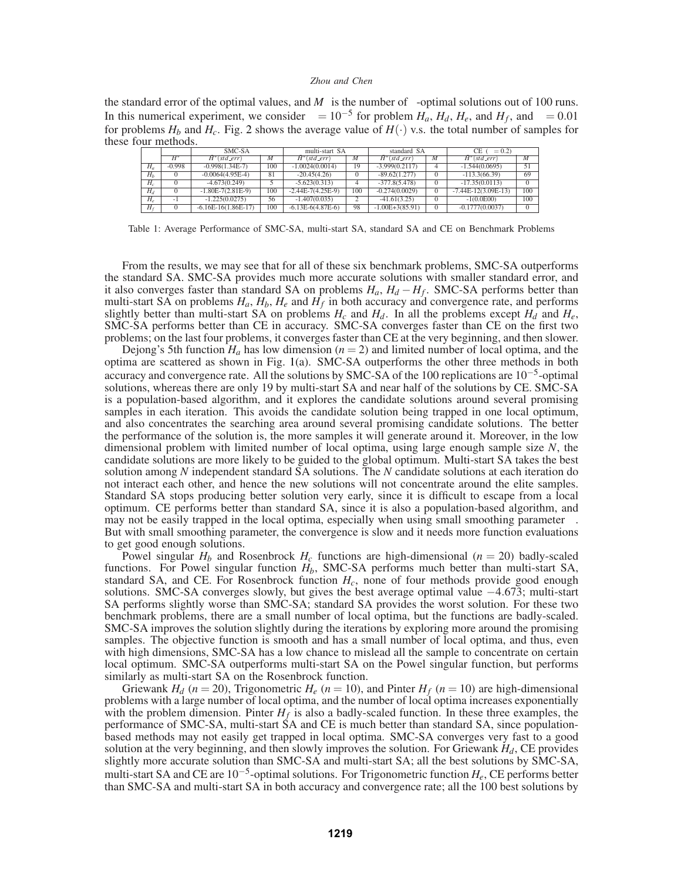the standard error of the optimal values, and  $M_{\varepsilon}$  is the number of  $\varepsilon$ -optimal solutions out of 100 runs. In this numerical experiment, we consider  $\varepsilon = 10^{-5}$  for problem  $H_a$ ,  $H_d$ ,  $H_e$ , and  $H_f$ , and  $\varepsilon = 0.01$ for problems  $H_b$  and  $H_c$ . Fig. 2 shows the average value of  $H(\cdot)$  v.s. the total number of samples for these four methods.

|                |          | SMC-SA                |     | multi-start SA          |     | standard SA         |             | $CE (v = 0.2)$            |             |
|----------------|----------|-----------------------|-----|-------------------------|-----|---------------------|-------------|---------------------------|-------------|
|                | $H^\ast$ | $H^*(std\_err)$       | M.  | $H^*(std\_err)$         | М.  | $H^*(std\_err)$     | $M_{\circ}$ | $H^*(std\_err)$           | $M_{\circ}$ |
| $H_a$          | $-0.998$ | $-0.998(1.34E-7)$     | 100 | $-1.0024(0.0014)$       | 19  | $-3.999(0.2117)$    |             | $-1.544(0.0695)$          | 51          |
| H <sub>b</sub> |          | $-0.0064(4.95E-4)$    | 81  | $-20.45(4.26)$          |     | $-89.62(1.277)$     |             | $-113.3(66.39)$           | 69          |
| $H_{\alpha}$   |          | $-4.673(0.249)$       |     | $-5.623(0.313)$         |     | $-377.8(5.478)$     |             | $-17.35(0.0113)$          |             |
| $H_d$          |          | $-1.80E-7(2.81E-9)$   | 100 | $-2.44E - 7(4.25E - 9)$ | 100 | $-0.274(0.0029)$    |             | $-7.44E - 12(3.09E - 13)$ | 100         |
| $H_e$          |          | $-1.225(0.0275)$      | 56  | $-1.407(0.035)$         |     | $-41.61(3.25)$      |             | $-1(0.0E00)$              | 100         |
| $H_{\ell}$     |          | $-6.16E-16(1.86E-17)$ | 100 | $-6.13E-6(4.87E-6)$     | 98  | $-1.00E + 3(85.91)$ |             | $-0.1777(0.0037)$         |             |

Table 1: Average Performance of SMC-SA, multi-start SA, standard SA and CE on Benchmark Problems

From the results, we may see that for all of these six benchmark problems, SMC-SA outperforms the standard SA. SMC-SA provides much more accurate solutions with smaller standard error, and it also converges faster than standard SA on problems  $H_a$ ,  $H_d - H_f$ . SMC-SA performs better than multi-start SA on problems  $H_a$ ,  $H_b$ ,  $H_e$  and  $H_f$  in both accuracy and convergence rate, and performs slightly better than multi-start SA on problems  $H_c$  and  $H_d$ . In all the problems except  $H_d$  and  $H_e$ , SMC-SA performs better than CE in accuracy. SMC-SA converges faster than CE on the first two problems; on the last four problems, it converges faster than CE at the very beginning, and then slower.

Dejong's 5th function  $H_a$  has low dimension ( $n = 2$ ) and limited number of local optima, and the optima are scattered as shown in Fig. 1(a). SMC-SA outperforms the other three methods in both accuracy and convergence rate. All the solutions by SMC-SA of the 100 replications are 10−5-optimal solutions, whereas there are only 19 by multi-start SA and near half of the solutions by CE. SMC-SA is a population-based algorithm, and it explores the candidate solutions around several promising samples in each iteration. This avoids the candidate solution being trapped in one local optimum, and also concentrates the searching area around several promising candidate solutions. The better the performance of the solution is, the more samples it will generate around it. Moreover, in the low dimensional problem with limited number of local optima, using large enough sample size *N*, the candidate solutions are more likely to be guided to the global optimum. Multi-start SA takes the best solution among *N* independent standard SA solutions. The *N* candidate solutions at each iteration do not interact each other, and hence the new solutions will not concentrate around the elite samples. Standard SA stops producing better solution very early, since it is difficult to escape from a local optimum. CE performs better than standard SA, since it is also a population-based algorithm, and may not be easily trapped in the local optima, especially when using small smoothing parameter <sup>ν</sup>. But with small smoothing parameter, the convergence is slow and it needs more function evaluations to get good enough solutions.

Powel singular  $H_b$  and Rosenbrock  $H_c$  functions are high-dimensional ( $n = 20$ ) badly-scaled functions. For Powel singular function  $H_b$ , SMC-SA performs much better than multi-start SA, standard SA, and CE. For Rosenbrock function  $H_c$ , none of four methods provide good enough solutions. SMC-SA converges slowly, but gives the best average optimal value −4.673; multi-start SA performs slightly worse than SMC-SA; standard SA provides the worst solution. For these two benchmark problems, there are a small number of local optima, but the functions are badly-scaled. SMC-SA improves the solution slightly during the iterations by exploring more around the promising samples. The objective function is smooth and has a small number of local optima, and thus, even with high dimensions, SMC-SA has a low chance to mislead all the sample to concentrate on certain local optimum. SMC-SA outperforms multi-start SA on the Powel singular function, but performs similarly as multi-start SA on the Rosenbrock function.

Griewank  $H_d$  ( $n = 20$ ), Trigonometric  $H_e$  ( $n = 10$ ), and Pinter  $H_f$  ( $n = 10$ ) are high-dimensional problems with a large number of local optima, and the number of local optima increases exponentially with the problem dimension. Pinter  $H_f$  is also a badly-scaled function. In these three examples, the performance of SMC-SA, multi-start SA and CE is much better than standard SA, since populationbased methods may not easily get trapped in local optima. SMC-SA converges very fast to a good solution at the very beginning, and then slowly improves the solution. For Griewank  $H_d$ , CE provides slightly more accurate solution than SMC-SA and multi-start SA; all the best solutions by SMC-SA, multi-start SA and CE are 10−5-optimal solutions. For Trigonometric function *He*, CE performs better than SMC-SA and multi-start SA in both accuracy and convergence rate; all the 100 best solutions by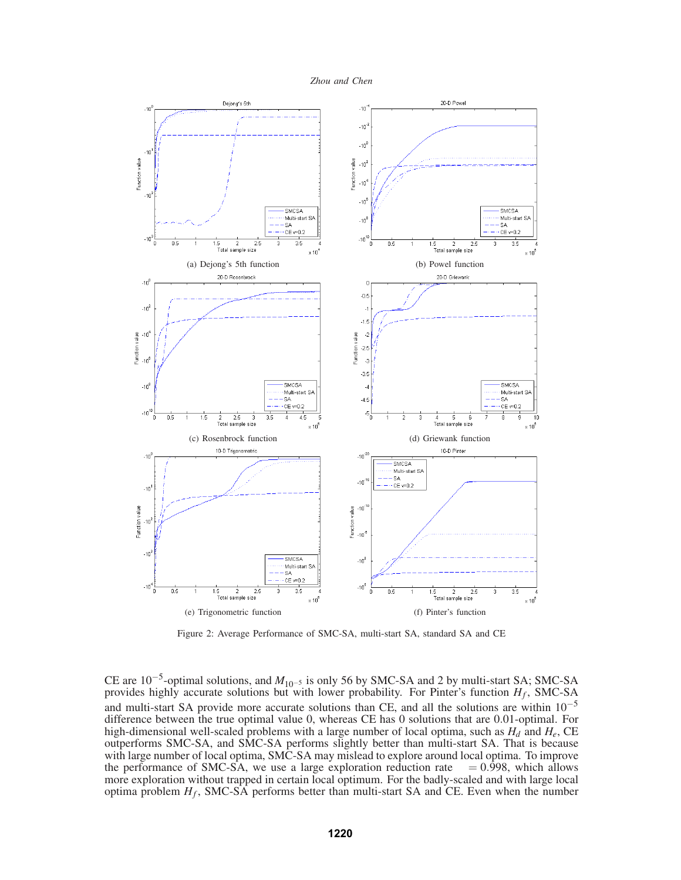

Figure 2: Average Performance of SMC-SA, multi-start SA, standard SA and CE

CE are 10−5-optimal solutions, and *M*10−<sup>5</sup> is only 56 by SMC-SA and 2 by multi-start SA; SMC-SA provides highly accurate solutions but with lower probability. For Pinter's function  $H_f$ , SMC-SA and multi-start SA provide more accurate solutions than CE, and all the solutions are within  $10^{-5}$ difference between the true optimal value 0, whereas CE has 0 solutions that are 0.01-optimal. For high-dimensional well-scaled problems with a large number of local optima, such as  $H_d$  and  $H_e$ , CE outperforms SMC-SA, and SMC-SA performs slightly better than multi-start SA. That is because with large number of local optima, SMC-SA may mislead to explore around local optima. To improve the performance of SMC-SA, we use a large exploration reduction rate  $\beta = 0.998$ , which allows more exploration without trapped in certain local optimum. For the badly-scaled and with large local optima problem  $H_f$ , SMC-SA performs better than multi-start SA and CE. Even when the number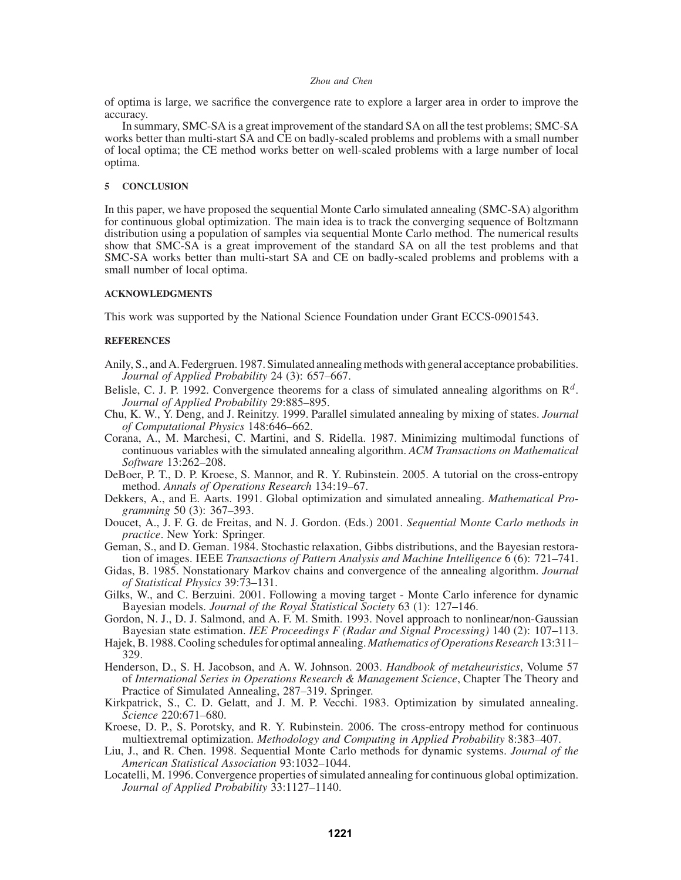of optima is large, we sacrifice the convergence rate to explore a larger area in order to improve the accuracy.

In summary, SMC-SA is a great improvement of the standard SA on all the test problems; SMC-SA works better than multi-start SA and CE on badly-scaled problems and problems with a small number of local optima; the CE method works better on well-scaled problems with a large number of local optima.

# **5 CONCLUSION**

In this paper, we have proposed the sequential Monte Carlo simulated annealing (SMC-SA) algorithm for continuous global optimization. The main idea is to track the converging sequence of Boltzmann distribution using a population of samples via sequential Monte Carlo method. The numerical results show that SMC-SA is a great improvement of the standard SA on all the test problems and that SMC-SA works better than multi-start SA and CE on badly-scaled problems and problems with a small number of local optima.

# **ACKNOWLEDGMENTS**

This work was supported by the National Science Foundation under Grant ECCS-0901543.

## **REFERENCES**

- Anily, S., and A. Federgruen. 1987. Simulated annealing methods with general acceptance probabilities. *Journal of Applied Probability* 24 (3): 657–667.
- Belisle, C. J. P. 1992. Convergence theorems for a class of simulated annealing algorithms on R*d*. *Journal of Applied Probability* 29:885–895.
- Chu, K. W., Y. Deng, and J. Reinitzy. 1999. Parallel simulated annealing by mixing of states. *Journal of Computational Physics* 148:646–662.
- Corana, A., M. Marchesi, C. Martini, and S. Ridella. 1987. Minimizing multimodal functions of continuous variables with the simulated annealing algorithm. *ACM Transactions on Mathematical Software* 13:262–208.
- DeBoer, P. T., D. P. Kroese, S. Mannor, and R. Y. Rubinstein. 2005. A tutorial on the cross-entropy method. *Annals of Operations Research* 134:19–67.
- Dekkers, A., and E. Aarts. 1991. Global optimization and simulated annealing. *Mathematical Programming* 50 (3): 367–393.
- Doucet, A., J. F. G. de Freitas, and N. J. Gordon. (Eds.) 2001. *Sequential* M*onte* C*arlo methods in practice*. New York: Springer.
- Geman, S., and D. Geman. 1984. Stochastic relaxation, Gibbs distributions, and the Bayesian restoration of images. IEEE *Transactions of Pattern Analysis and Machine Intelligence* 6 (6): 721–741.
- Gidas, B. 1985. Nonstationary Markov chains and convergence of the annealing algorithm. *Journal of Statistical Physics* 39:73–131.
- Gilks, W., and C. Berzuini. 2001. Following a moving target Monte Carlo inference for dynamic Bayesian models. *Journal of the Royal Statistical Society* 63 (1): 127–146.
- Gordon, N. J., D. J. Salmond, and A. F. M. Smith. 1993. Novel approach to nonlinear/non-Gaussian Bayesian state estimation. *IEE Proceedings F (Radar and Signal Processing)* 140 (2): 107–113.
- Hajek, B. 1988. Cooling schedules for optimal annealing.*Mathematics of Operations Research* 13:311– 329.
- Henderson, D., S. H. Jacobson, and A. W. Johnson. 2003. *Handbook of metaheuristics*, Volume 57 of *International Series in Operations Research & Management Science*, Chapter The Theory and Practice of Simulated Annealing, 287–319. Springer.
- Kirkpatrick, S., C. D. Gelatt, and J. M. P. Vecchi. 1983. Optimization by simulated annealing. *Science* 220:671–680.
- Kroese, D. P., S. Porotsky, and R. Y. Rubinstein. 2006. The cross-entropy method for continuous multiextremal optimization. *Methodology and Computing in Applied Probability* 8:383–407.
- Liu, J., and R. Chen. 1998. Sequential Monte Carlo methods for dynamic systems. *Journal of the American Statistical Association* 93:1032–1044.
- Locatelli, M. 1996. Convergence properties of simulated annealing for continuous global optimization. *Journal of Applied Probability* 33:1127–1140.